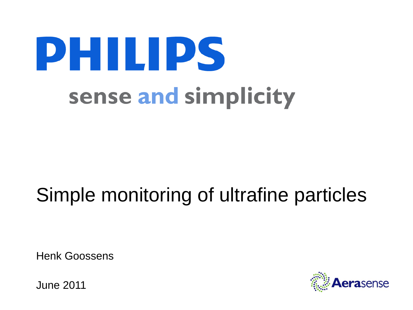# **PHILIPS** sense and simplicity

# Simple monitoring of ultrafine particles

Henk Goossens

June 2011

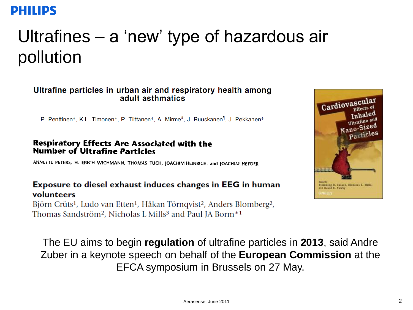## Ultrafines – a 'new' type of hazardous air pollution

#### Ultrafine particles in urban air and respiratory health among adult asthmatics

P. Penttinen\*, K.L. Timonen\*, P. Tiittanen\*, A. Mirme<sup>#</sup>, J. Ruuskanen<sup>1</sup>, J. Pekkanen\*

#### **Respiratory Effects Are Associated with the Number of Ultrafine Particles**

ANNETTE PETERS, H. ERICH WICHMANN, THOMAS TUCH, JOACHIM HEINRICH, and JOACHIM HEYDER

#### **Exposure to diesel exhaust induces changes in EEG in human** volunteers

Björn Crüts<sup>1</sup>, Ludo van Etten<sup>1</sup>, Håkan Törngvist<sup>2</sup>, Anders Blomberg<sup>2</sup>, Thomas Sandström<sup>2</sup>, Nicholas L Mills<sup>3</sup> and Paul JA Borm<sup>\*1</sup>



The EU aims to begin **regulation** of ultrafine particles in **2013**, said Andre Zuber in a keynote speech on behalf of the **European Commission** at the EFCA symposium in Brussels on 27 May.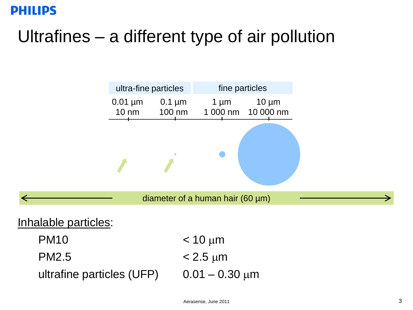## Ultrafines – a different type of air pollution

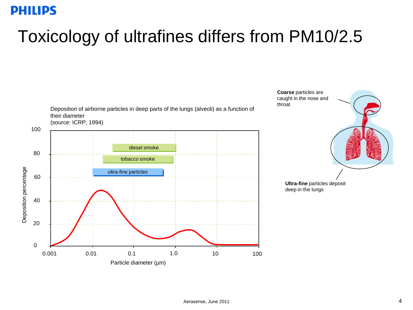### Toxicology of ultrafines differs from PM10/2.5

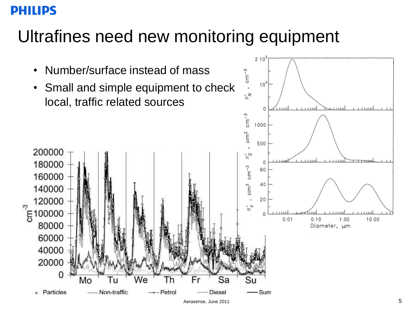### Ultrafines need new monitoring equipment

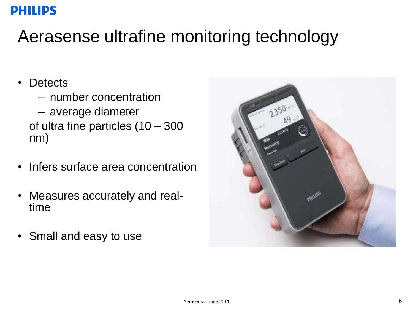### Aerasense ultrafine monitoring technology

- Detects
	- number concentration
	- average diameter of ultra fine particles (10 – 300 nm)
- Infers surface area concentration
- Measures accurately and realtime
- Small and easy to use

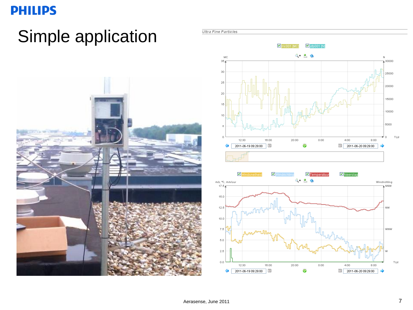### Simple application







**Ultra Fine Particles**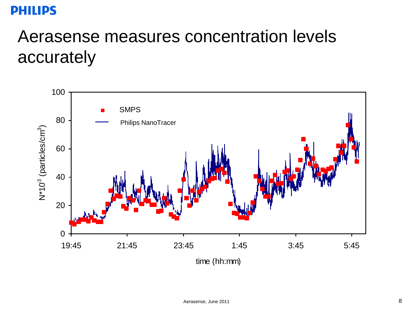### Aerasense measures concentration levels accurately

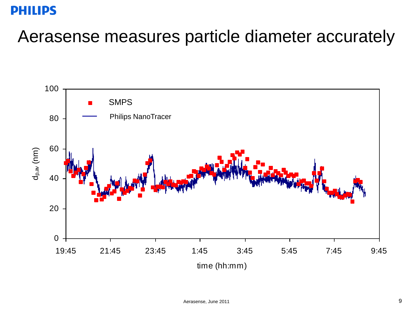### Aerasense measures particle diameter accurately

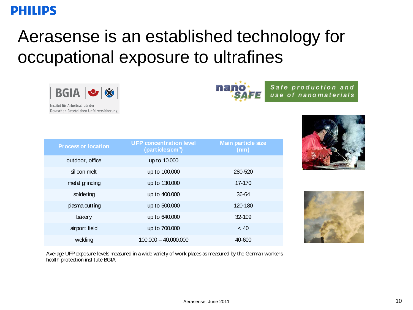### Aerasense is an established technology for occupational exposure to ultrafines

**nano** 

| $BGA$ $\blacktriangleright$ $\blacktriangleright$ |  |
|---------------------------------------------------|--|
| $1.71 \times 10^{14}$                             |  |

Institut für Arbeitsschutz der Deutschen Gesetzlichen Unfallversicherung

| <b>Process or location</b> | <b>UFP concentration level</b><br>(particle s/cm <sup>3</sup> ) | <b>Main particle size</b><br>(nm) |
|----------------------------|-----------------------------------------------------------------|-----------------------------------|
| outdoor, office            | up to 10.000                                                    |                                   |
| silicon melt               | up to 100.000                                                   | 280-520                           |
| metal grinding             | up to 130.000                                                   | 17-170                            |
| soldering                  | up to 400.000                                                   | 36-64                             |
| plasma cutting             | up to 500.000                                                   | 120-180                           |
| bakery                     | up to 640.000                                                   | 32-109                            |
| airport field              | up to 700.000                                                   | ~< 40                             |
| welding                    | $100.000 - 40.000.000$                                          | 40-600                            |

Safe production and

use of nanomaterials



Average UFP exposure levels measured in a wide variety of work places as measured by the German workers health protection institute BGIA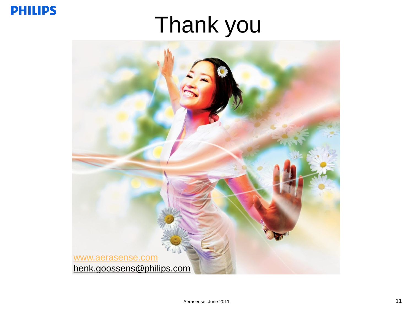# Thank you

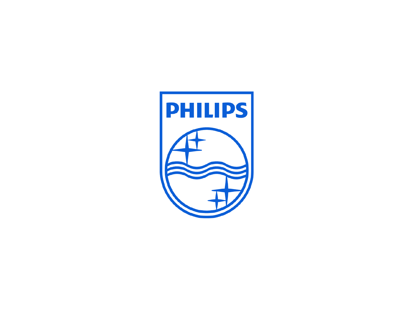